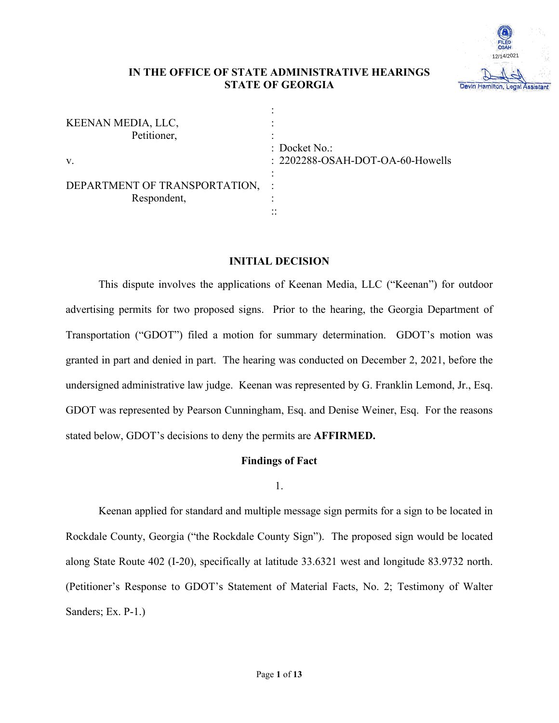

## **IN THE OFFICE OF STATE ADMINISTRATIVE HEARINGS STATE OF GEORGIA**

| KEENAN MEDIA, LLC,<br>Petitioner,              |                                                              |
|------------------------------------------------|--------------------------------------------------------------|
| V.                                             | $\therefore$ Docket No.:<br>: 2202288-OSAH-DOT-OA-60-Howells |
| DEPARTMENT OF TRANSPORTATION, :<br>Respondent, | $\cdot$ $\cdot$<br>. .                                       |

## **INITIAL DECISION**

This dispute involves the applications of Keenan Media, LLC ("Keenan") for outdoor advertising permits for two proposed signs. Prior to the hearing, the Georgia Department of Transportation ("GDOT") filed a motion for summary determination. GDOT's motion was granted in part and denied in part. The hearing was conducted on December 2, 2021, before the undersigned administrative law judge. Keenan was represented by G. Franklin Lemond, Jr., Esq. GDOT was represented by Pearson Cunningham, Esq. and Denise Weiner, Esq. For the reasons stated below, GDOT's decisions to deny the permits are **AFFIRMED.** 

### **Findings of Fact**

1.

Keenan applied for standard and multiple message sign permits for a sign to be located in Rockdale County, Georgia ("the Rockdale County Sign"). The proposed sign would be located along State Route 402 (I-20), specifically at latitude 33.6321 west and longitude 83.9732 north. (Petitioner's Response to GDOT's Statement of Material Facts, No. 2; Testimony of Walter Sanders; Ex. P-1.)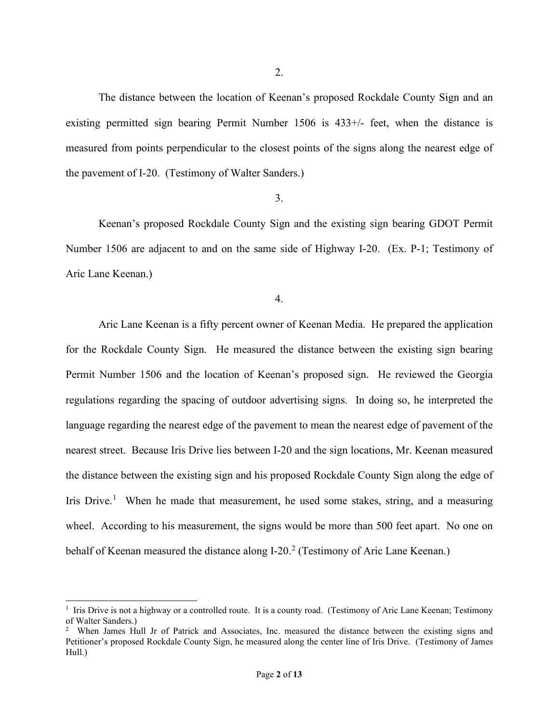The distance between the location of Keenan's proposed Rockdale County Sign and an existing permitted sign bearing Permit Number 1506 is 433+/- feet, when the distance is measured from points perpendicular to the closest points of the signs along the nearest edge of the pavement of I-20. (Testimony of Walter Sanders.)

## 3.

Keenan's proposed Rockdale County Sign and the existing sign bearing GDOT Permit Number 1506 are adjacent to and on the same side of Highway I-20. (Ex. P-1; Testimony of Aric Lane Keenan.)

4.

Aric Lane Keenan is a fifty percent owner of Keenan Media. He prepared the application for the Rockdale County Sign. He measured the distance between the existing sign bearing Permit Number 1506 and the location of Keenan's proposed sign. He reviewed the Georgia regulations regarding the spacing of outdoor advertising signs. In doing so, he interpreted the language regarding the nearest edge of the pavement to mean the nearest edge of pavement of the nearest street. Because Iris Drive lies between I-20 and the sign locations, Mr. Keenan measured the distance between the existing sign and his proposed Rockdale County Sign along the edge of Iris Drive.<sup>1</sup> When he made that measurement, he used some stakes, string, and a measuring wheel. According to his measurement, the signs would be more than 500 feet apart. No one on behalf of Keenan measured the distance along I-20.<sup>2</sup> (Testimony of Aric Lane Keenan.)

<sup>&</sup>lt;sup>1</sup> Iris Drive is not a highway or a controlled route. It is a county road. (Testimony of Aric Lane Keenan; Testimony of Walter Sanders.)

<sup>&</sup>lt;sup>2</sup> When James Hull Jr of Patrick and Associates, Inc. measured the distance between the existing signs and Petitioner's proposed Rockdale County Sign, he measured along the center line of Iris Drive. (Testimony of James Hull.)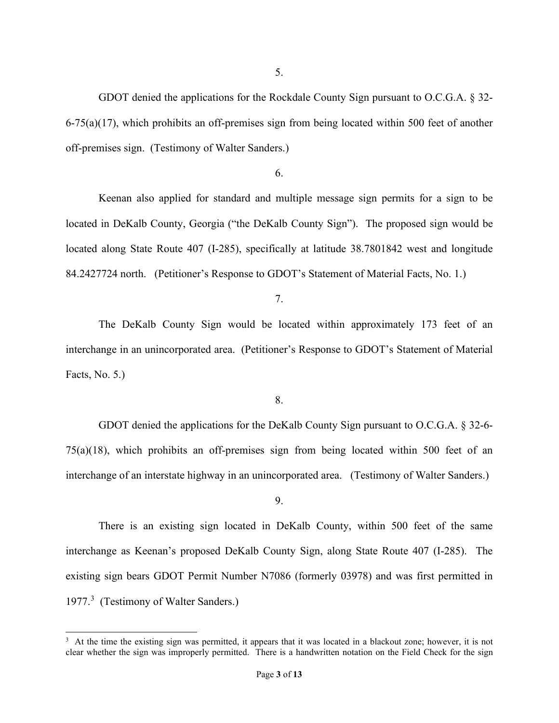GDOT denied the applications for the Rockdale County Sign pursuant to O.C.G.A. § 32-  $6-75(a)(17)$ , which prohibits an off-premises sign from being located within 500 feet of another off-premises sign. (Testimony of Walter Sanders.)

### 6.

Keenan also applied for standard and multiple message sign permits for a sign to be located in DeKalb County, Georgia ("the DeKalb County Sign"). The proposed sign would be located along State Route 407 (I-285), specifically at latitude 38.7801842 west and longitude 84.2427724 north. (Petitioner's Response to GDOT's Statement of Material Facts, No. 1.)

7.

The DeKalb County Sign would be located within approximately 173 feet of an interchange in an unincorporated area. (Petitioner's Response to GDOT's Statement of Material Facts, No. 5.)

8.

GDOT denied the applications for the DeKalb County Sign pursuant to O.C.G.A. § 32-6- 75(a)(18), which prohibits an off-premises sign from being located within 500 feet of an interchange of an interstate highway in an unincorporated area. (Testimony of Walter Sanders.)

9.

There is an existing sign located in DeKalb County, within 500 feet of the same interchange as Keenan's proposed DeKalb County Sign, along State Route 407 (I-285). The existing sign bears GDOT Permit Number N7086 (formerly 03978) and was first permitted in 1977.<sup>3</sup> (Testimony of Walter Sanders.)

<sup>&</sup>lt;sup>3</sup> At the time the existing sign was permitted, it appears that it was located in a blackout zone; however, it is not clear whether the sign was improperly permitted. There is a handwritten notation on the Field Check for the sign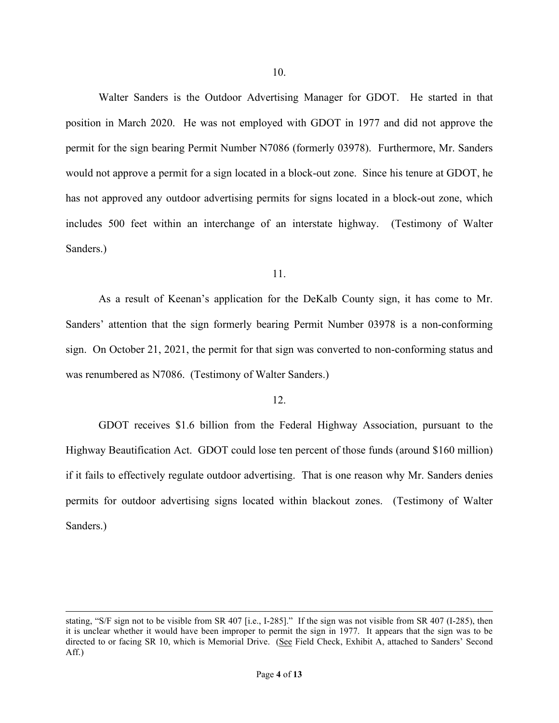Walter Sanders is the Outdoor Advertising Manager for GDOT. He started in that position in March 2020. He was not employed with GDOT in 1977 and did not approve the permit for the sign bearing Permit Number N7086 (formerly 03978). Furthermore, Mr. Sanders would not approve a permit for a sign located in a block-out zone. Since his tenure at GDOT, he has not approved any outdoor advertising permits for signs located in a block-out zone, which includes 500 feet within an interchange of an interstate highway. (Testimony of Walter Sanders.)

#### 11.

As a result of Keenan's application for the DeKalb County sign, it has come to Mr. Sanders' attention that the sign formerly bearing Permit Number 03978 is a non-conforming sign. On October 21, 2021, the permit for that sign was converted to non-conforming status and was renumbered as N7086. (Testimony of Walter Sanders.)

### 12.

GDOT receives \$1.6 billion from the Federal Highway Association, pursuant to the Highway Beautification Act. GDOT could lose ten percent of those funds (around \$160 million) if it fails to effectively regulate outdoor advertising. That is one reason why Mr. Sanders denies permits for outdoor advertising signs located within blackout zones. (Testimony of Walter Sanders.)

stating, "S/F sign not to be visible from SR 407 [i.e., I-285]." If the sign was not visible from SR 407 (I-285), then it is unclear whether it would have been improper to permit the sign in 1977. It appears that the sign was to be directed to or facing SR 10, which is Memorial Drive. (See Field Check, Exhibit A, attached to Sanders' Second Aff.)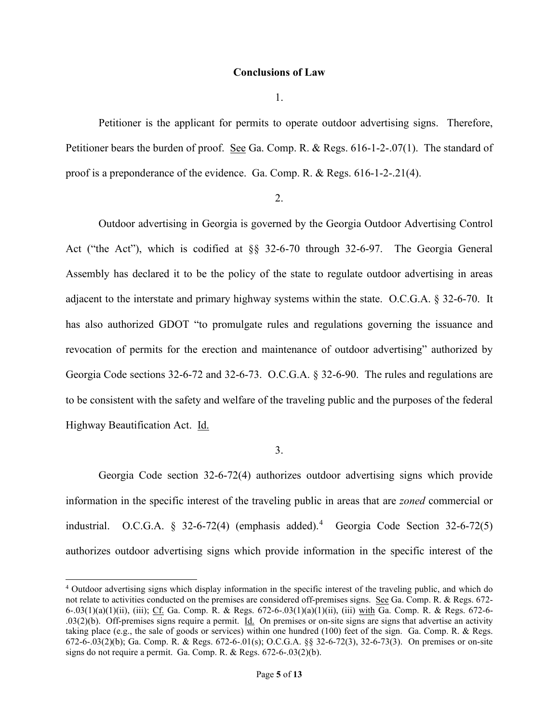### **Conclusions of Law**

1.

Petitioner is the applicant for permits to operate outdoor advertising signs. Therefore, Petitioner bears the burden of proof. See Ga. Comp. R. & Regs. 616-1-2-.07(1). The standard of proof is a preponderance of the evidence. Ga. Comp. R. & Regs. 616-1-2-.21(4).

### 2.

Outdoor advertising in Georgia is governed by the Georgia Outdoor Advertising Control Act ("the Act"), which is codified at §§ 32-6-70 through 32-6-97. The Georgia General Assembly has declared it to be the policy of the state to regulate outdoor advertising in areas adjacent to the interstate and primary highway systems within the state. O.C.G.A. § 32-6-70. It has also authorized GDOT "to promulgate rules and regulations governing the issuance and revocation of permits for the erection and maintenance of outdoor advertising" authorized by Georgia Code sections 32-6-72 and 32-6-73. O.C.G.A. § 32-6-90. The rules and regulations are to be consistent with the safety and welfare of the traveling public and the purposes of the federal Highway Beautification Act. Id.

3.

Georgia Code section 32-6-72(4) authorizes outdoor advertising signs which provide information in the specific interest of the traveling public in areas that are *zoned* commercial or industrial. O.C.G.A.  $\S$  32-6-72(4) (emphasis added).<sup>4</sup> Georgia Code Section 32-6-72(5) authorizes outdoor advertising signs which provide information in the specific interest of the

<sup>4</sup> Outdoor advertising signs which display information in the specific interest of the traveling public, and which do not relate to activities conducted on the premises are considered off-premises signs. See Ga. Comp. R. & Regs. 672- 6-.03(1)(a)(1)(ii), (iii); Cf. Ga. Comp. R. & Regs. 672-6-.03(1)(a)(1)(ii), (iii) with Ga. Comp. R. & Regs. 672-6-.03(2)(b). Off-premises signs require a permit.  $\underline{Id}$ . On premises or on-site signs are signs that advertise an activity taking place (e.g., the sale of goods or services) within one hundred (100) feet of the sign. Ga. Comp. R. & Regs. 672-6-.03(2)(b); Ga. Comp. R. & Regs. 672-6-.01(s); O.C.G.A. §§ 32-6-72(3), 32-6-73(3). On premises or on-site signs do not require a permit. Ga. Comp. R. & Regs. 672-6-.03(2)(b).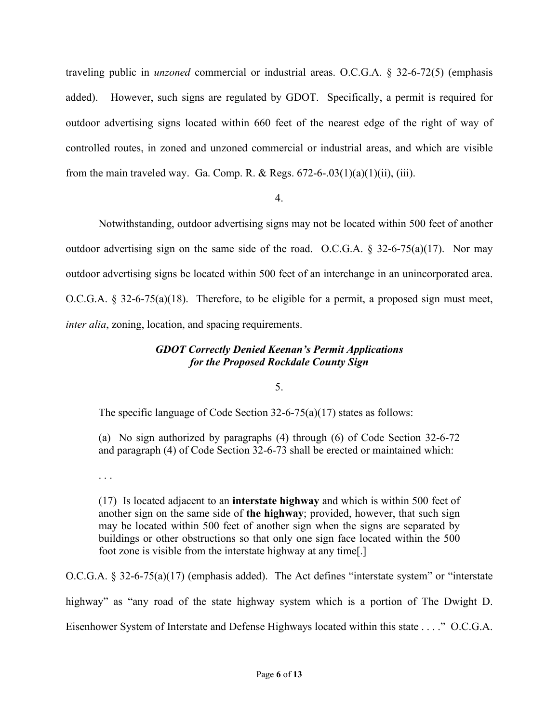traveling public in *unzoned* commercial or industrial areas. O.C.G.A. § 32-6-72(5) (emphasis added). However, such signs are regulated by GDOT. Specifically, a permit is required for outdoor advertising signs located within 660 feet of the nearest edge of the right of way of controlled routes, in zoned and unzoned commercial or industrial areas, and which are visible from the main traveled way. Ga. Comp. R. & Regs.  $672-6-03(1)(a)(1)(ii)$ , (iii).

## 4.

Notwithstanding, outdoor advertising signs may not be located within 500 feet of another outdoor advertising sign on the same side of the road. O.C.G.A.  $\S$  32-6-75(a)(17). Nor may outdoor advertising signs be located within 500 feet of an interchange in an unincorporated area. O.C.G.A. § 32-6-75(a)(18). Therefore, to be eligible for a permit, a proposed sign must meet, *inter alia*, zoning, location, and spacing requirements.

## *GDOT Correctly Denied Keenan's Permit Applications for the Proposed Rockdale County Sign*

## 5.

The specific language of Code Section 32-6-75(a)(17) states as follows:

(a) No sign authorized by paragraphs (4) through (6) of Code Section 32-6-72 and paragraph (4) of Code Section 32-6-73 shall be erected or maintained which:

. . .

(17) Is located adjacent to an **interstate highway** and which is within 500 feet of another sign on the same side of **the highway**; provided, however, that such sign may be located within 500 feet of another sign when the signs are separated by buildings or other obstructions so that only one sign face located within the 500 foot zone is visible from the interstate highway at any time[.]

O.C.G.A. § 32-6-75(a)(17) (emphasis added). The Act defines "interstate system" or "interstate highway" as "any road of the state highway system which is a portion of The Dwight D. Eisenhower System of Interstate and Defense Highways located within this state . . . ." O.C.G.A.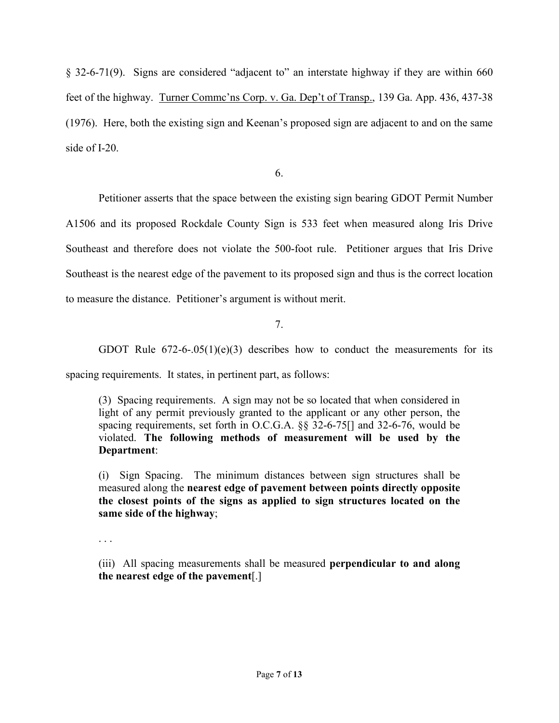§ 32-6-71(9). Signs are considered "adjacent to" an interstate highway if they are within 660 feet of the highway. Turner Commc'ns Corp. v. Ga. Dep't of Transp., 139 Ga. App. 436, 437-38 (1976). Here, both the existing sign and Keenan's proposed sign are adjacent to and on the same side of I-20.

6.

Petitioner asserts that the space between the existing sign bearing GDOT Permit Number

A1506 and its proposed Rockdale County Sign is 533 feet when measured along Iris Drive Southeast and therefore does not violate the 500-foot rule. Petitioner argues that Iris Drive Southeast is the nearest edge of the pavement to its proposed sign and thus is the correct location to measure the distance. Petitioner's argument is without merit.

7.

GDOT Rule  $672-6-.05(1)(e)(3)$  describes how to conduct the measurements for its

spacing requirements. It states, in pertinent part, as follows:

(3) Spacing requirements. A sign may not be so located that when considered in light of any permit previously granted to the applicant or any other person, the spacing requirements, set forth in O.C.G.A. §§ 32-6-75[] and 32-6-76, would be violated. **The following methods of measurement will be used by the Department**:

(i) Sign Spacing. The minimum distances between sign structures shall be measured along the **nearest edge of pavement between points directly opposite the closest points of the signs as applied to sign structures located on the same side of the highway**;

. . .

(iii) All spacing measurements shall be measured **perpendicular to and along the nearest edge of the pavement**[.]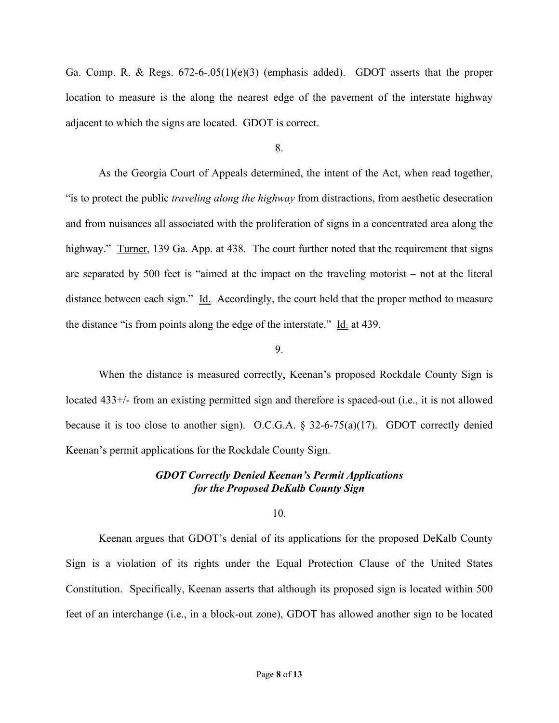Ga. Comp. R. & Regs. 672-6-.05(1)(e)(3) (emphasis added). GDOT asserts that the proper location to measure is the along the nearest edge of the pavement of the interstate highway adjacent to which the signs are located. GDOT is correct.

8.

As the Georgia Court of Appeals determined, the intent of the Act, when read together, "is to protect the public *traveling along the highway* from distractions, from aesthetic desecration and from nuisances all associated with the proliferation of signs in a concentrated area along the highway." Turner, 139 Ga. App. at 438. The court further noted that the requirement that signs are separated by 500 feet is "aimed at the impact on the traveling motorist – not at the literal distance between each sign." Id. Accordingly, the court held that the proper method to measure the distance "is from points along the edge of the interstate." Id. at 439.

### 9.

When the distance is measured correctly, Keenan's proposed Rockdale County Sign is located 433+/- from an existing permitted sign and therefore is spaced-out (i.e., it is not allowed because it is too close to another sign). O.C.G.A.  $\S$  32-6-75(a)(17). GDOT correctly denied Keenan's permit applications for the Rockdale County Sign.

## *GDOT Correctly Denied Keenan's Permit Applications for the Proposed DeKalb County Sign*

10.

Keenan argues that GDOT's denial of its applications for the proposed DeKalb County Sign is a violation of its rights under the Equal Protection Clause of the United States Constitution. Specifically, Keenan asserts that although its proposed sign is located within 500 feet of an interchange (i.e., in a block-out zone), GDOT has allowed another sign to be located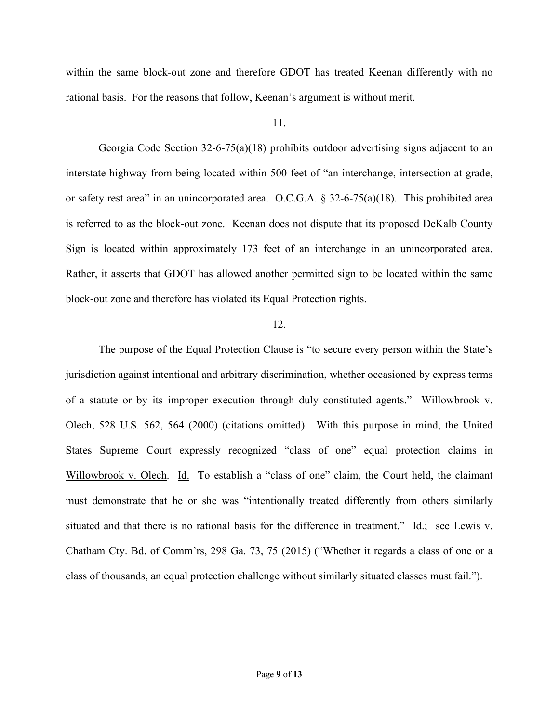within the same block-out zone and therefore GDOT has treated Keenan differently with no rational basis. For the reasons that follow, Keenan's argument is without merit.

### 11.

Georgia Code Section 32-6-75(a)(18) prohibits outdoor advertising signs adjacent to an interstate highway from being located within 500 feet of "an interchange, intersection at grade, or safety rest area" in an unincorporated area. O.C.G.A. § 32-6-75(a)(18). This prohibited area is referred to as the block-out zone. Keenan does not dispute that its proposed DeKalb County Sign is located within approximately 173 feet of an interchange in an unincorporated area. Rather, it asserts that GDOT has allowed another permitted sign to be located within the same block-out zone and therefore has violated its Equal Protection rights.

### 12.

The purpose of the Equal Protection Clause is "to secure every person within the State's jurisdiction against intentional and arbitrary discrimination, whether occasioned by express terms of a statute or by its improper execution through duly constituted agents." Willowbrook v. Olech, 528 U.S. 562, 564 (2000) (citations omitted). With this purpose in mind, the United States Supreme Court expressly recognized "class of one" equal protection claims in Willowbrook v. Olech. Id. To establish a "class of one" claim, the Court held, the claimant must demonstrate that he or she was "intentionally treated differently from others similarly situated and that there is no rational basis for the difference in treatment." Id.; see Lewis v. Chatham Cty. Bd. of Comm'rs, 298 Ga. 73, 75 (2015) ("Whether it regards a class of one or a class of thousands, an equal protection challenge without similarly situated classes must fail.").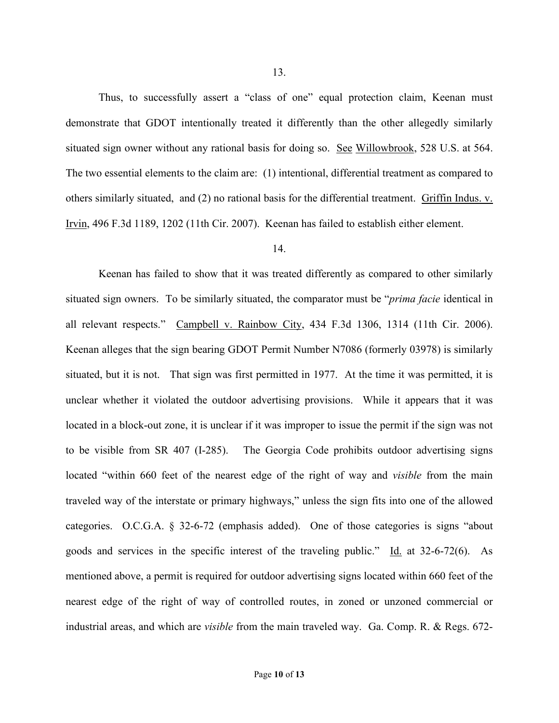Thus, to successfully assert a "class of one" equal protection claim, Keenan must demonstrate that GDOT intentionally treated it differently than the other allegedly similarly situated sign owner without any rational basis for doing so. See Willowbrook, 528 U.S. at 564. The two essential elements to the claim are: (1) intentional, differential treatment as compared to others similarly situated, and (2) no rational basis for the differential treatment. Griffin Indus. v. Irvin, 496 F.3d 1189, 1202 (11th Cir. 2007). Keenan has failed to establish either element.

### 14.

Keenan has failed to show that it was treated differently as compared to other similarly situated sign owners. To be similarly situated, the comparator must be "*prima facie* identical in all relevant respects." Campbell v. Rainbow City, 434 F.3d 1306, 1314 (11th Cir. 2006). Keenan alleges that the sign bearing GDOT Permit Number N7086 (formerly 03978) is similarly situated, but it is not. That sign was first permitted in 1977. At the time it was permitted, it is unclear whether it violated the outdoor advertising provisions. While it appears that it was located in a block-out zone, it is unclear if it was improper to issue the permit if the sign was not to be visible from SR 407 (I-285). The Georgia Code prohibits outdoor advertising signs located "within 660 feet of the nearest edge of the right of way and *visible* from the main traveled way of the interstate or primary highways," unless the sign fits into one of the allowed categories. O.C.G.A. § 32-6-72 (emphasis added). One of those categories is signs "about goods and services in the specific interest of the traveling public." Id. at 32-6-72(6). As mentioned above, a permit is required for outdoor advertising signs located within 660 feet of the nearest edge of the right of way of controlled routes, in zoned or unzoned commercial or industrial areas, and which are *visible* from the main traveled way. Ga. Comp. R. & Regs. 672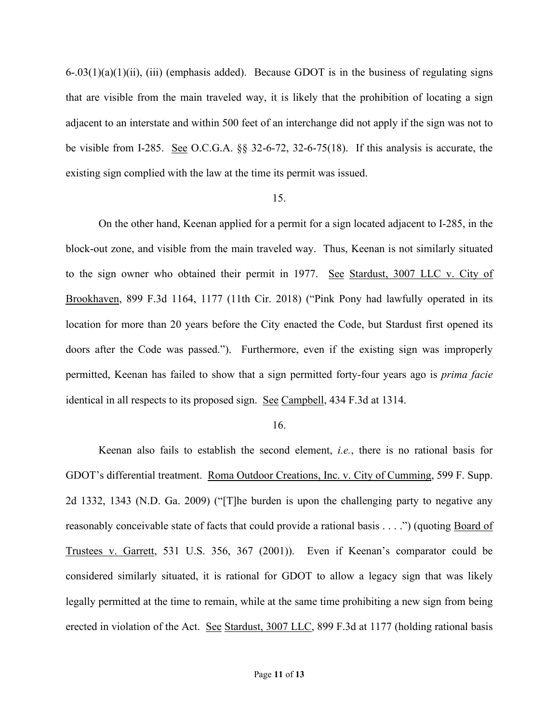$6-.03(1)(a)(1)(ii)$ , (iii) (emphasis added). Because GDOT is in the business of regulating signs that are visible from the main traveled way, it is likely that the prohibition of locating a sign adjacent to an interstate and within 500 feet of an interchange did not apply if the sign was not to be visible from I-285. See O.C.G.A. §§ 32-6-72, 32-6-75(18). If this analysis is accurate, the existing sign complied with the law at the time its permit was issued.

#### 15.

On the other hand, Keenan applied for a permit for a sign located adjacent to I-285, in the block-out zone, and visible from the main traveled way. Thus, Keenan is not similarly situated to the sign owner who obtained their permit in 1977. See Stardust, 3007 LLC v. City of Brookhaven, 899 F.3d 1164, 1177 (11th Cir. 2018) ("Pink Pony had lawfully operated in its location for more than 20 years before the City enacted the Code, but Stardust first opened its doors after the Code was passed."). Furthermore, even if the existing sign was improperly permitted, Keenan has failed to show that a sign permitted forty-four years ago is *prima facie* identical in all respects to its proposed sign. See Campbell, 434 F.3d at 1314.

#### 16.

Keenan also fails to establish the second element, *i.e.*, there is no rational basis for GDOT's differential treatment. Roma Outdoor Creations, Inc. v. City of Cumming, 599 F. Supp. 2d 1332, 1343 (N.D. Ga. 2009) ("[T]he burden is upon the challenging party to negative any reasonably conceivable state of facts that could provide a rational basis . . . .") (quoting Board of Trustees v. Garrett, 531 U.S. 356, 367 (2001)). Even if Keenan's comparator could be considered similarly situated, it is rational for GDOT to allow a legacy sign that was likely legally permitted at the time to remain, while at the same time prohibiting a new sign from being erected in violation of the Act. See Stardust, 3007 LLC, 899 F.3d at 1177 (holding rational basis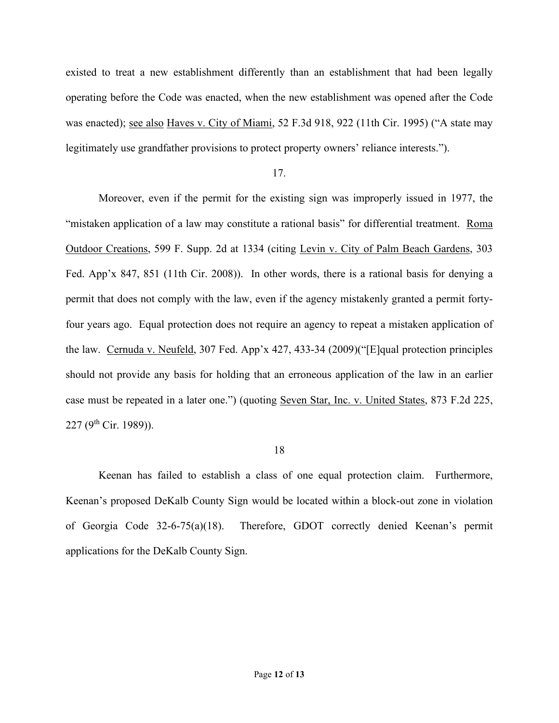existed to treat a new establishment differently than an establishment that had been legally operating before the Code was enacted, when the new establishment was opened after the Code was enacted); see also Haves v. City of Miami, 52 F.3d 918, 922 (11th Cir. 1995) ("A state may legitimately use grandfather provisions to protect property owners' reliance interests.").

17.

Moreover, even if the permit for the existing sign was improperly issued in 1977, the "mistaken application of a law may constitute a rational basis" for differential treatment. Roma Outdoor Creations, 599 F. Supp. 2d at 1334 (citing Levin v. City of Palm Beach Gardens, 303 Fed. App'x 847, 851 (11th Cir. 2008)). In other words, there is a rational basis for denying a permit that does not comply with the law, even if the agency mistakenly granted a permit fortyfour years ago. Equal protection does not require an agency to repeat a mistaken application of the law. Cernuda v. Neufeld, 307 Fed. App'x 427, 433-34 (2009)("[E]qual protection principles should not provide any basis for holding that an erroneous application of the law in an earlier case must be repeated in a later one.") (quoting Seven Star, Inc. v. United States, 873 F.2d 225, 227 ( $9^{th}$  Cir. 1989)).

#### 18

Keenan has failed to establish a class of one equal protection claim. Furthermore, Keenan's proposed DeKalb County Sign would be located within a block-out zone in violation of Georgia Code 32-6-75(a)(18). Therefore, GDOT correctly denied Keenan's permit applications for the DeKalb County Sign.